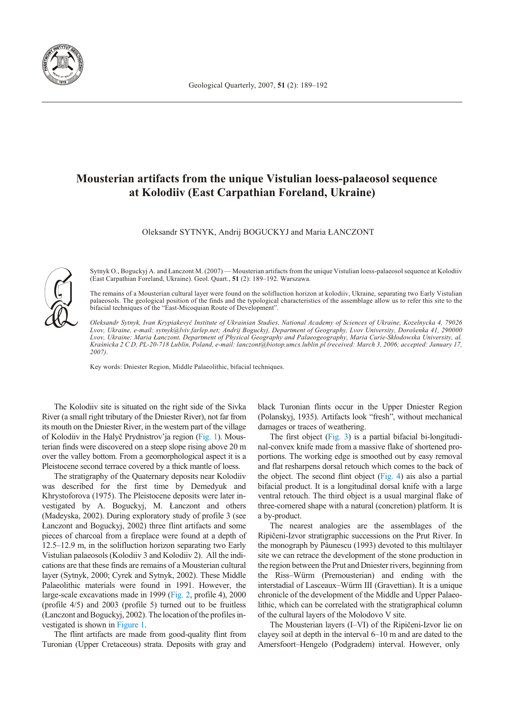

## **Mousterian artifacts from the unique Vistulian loess-palaeosol sequence** at Kolodiiv (East Carpathian Foreland, Ukraine)

Oleksandr SYTNYK, Andrij BOGUCKYJ and Maria £ANCZONT



Sytnyk O., Boguckyj A. and Łanczont M. (2007) — Mousterian artifacts from the unique Vistulian loess-palaeosol sequence at Kolodiiv (East Carpathian Foreland, Ukraine). Geol. Quart., 51 (2): 189-192. Warszawa.

The remains of a Mousterian cultural layer were found on the solifluction horizon at kolodiiv, Ukraine, separating two Early Vistulian palaeosols. The geological position of the finds and the typological characteristics of the assemblage allow us to refer this site to the bifacial techniques of the "East-Micoquian Route of Development".

*Oleksandr Sytnyk, Ivan Krypiakevyè In sti tute of Ukrainian Stud ies, Na tional Acad emy of Sci ences of Ukraine, Kozelnycka 4, 79026 Lvov, Ukraine, e-mail: sytnyk@lviv.farlep.net; Andrij Boguckyj, De part ment of Ge og ra phy, Lvov Uni ver sity, Dorošenka 41, 290000* Lvov, Ukraine; Maria Łanczont, Department of Physical Geography and Palaeogeography, Maria Curie-Skłodowska University, al. *Kraœnicka 2 C D, PL-20-718 Lublin, Po land, e-mail: lanczont@biotop.umcs.lublin.pl (re ceived: March 3, 2006; ac cepted: Jan u ary 17, 2007)*.

Key words: Dniester Region, Middle Palaeolithic, bifacial techniques.

The Kolodiiv site is situated on the right side of the Sivka River (a small right tributary of the Dniester River), not far from its mouth on the Dniester River, in the western part of the village of Kolodiiv in the Halyč Prydnistrov'ja region [\(Fig. 1\).](#page-1-0) Mousterian finds were discovered on a steep slope rising above 20 m over the valley bottom. From a geomorphological aspect it is a Pleistocene second terrace covered by a thick mantle of loess.

The stratigraphy of the Quaternary deposits near Kolodiiv was de scribed for the first time by Demedyuk and Khrystoforova (1975). The Pleistocene deposits were later investigated by A. Boguckyj, M. Łanczont and others (Madeyska, 2002). During exploratory study of profile 3 (see Łanczont and Boguckyj, 2002) three flint artifacts and some pieces of charcoal from a fireplace were found at a depth of  $12.5-12.9$  m, in the solifluction horizon separating two Early Vistulian palaeosols (Kolodiiv 3 and Kolodiiv 2). All the indications are that these finds are remains of a Mousterian cultural layer (Sytnyk, 2000; Cyrek and Sytnyk, 2002). These Middle Palaeolithic materials were found in 1991. However, the large-scale excavations made in 1999 [\(Fig. 2,](#page-1-0) profile 4), 2000 (profile  $4/5$ ) and  $2003$  (profile 5) turned out to be fruitless (Łanczont and Boguckyj, 2002). The location of the profiles investigated is shown in Figure 1.

The flint artifacts are made from good-quality flint from Turonian (Upper Cretaceous) strata. Deposits with gray and

black Turonian flints occur in the Upper Dniester Region (Polanskyj, 1935). Artifacts look "fresh", without mechanical damages or traces of weathering.

The first object [\(Fig. 3\)](#page-2-0) is a partial bifacial bi-longitudinal-convex knife made from a massive flake of shortened proportions. The working edge is smoothed out by easy removal and flat resharpens dorsal retouch which comes to the back of the object. The second flint object  $(Fig. 4)$  ais also a partial bifacial product. It is a longitudinal dorsal knife with a large ventral retouch. The third object is a usual marginal flake of three-cornered shape with a natural (concretion) platform. It is a by-product.

The nearest analogies are the assemblages of the Ripièeni-Izvor stratigraphic successions on the Prut River. In the monograph by Pâunescu (1993) devoted to this multilayer site we can retrace the development of the stone production in the region between the Prut and Dniester rivers, beginning from the Riss–Würm (Premousterian) and ending with the interstadial of Lasceaux–Würm III (Gravettian). It is a unique chronicle of the development of the Middle and Upper Palaeolithic, which can be correlated with the stratigraphical column of the cultural layers of the Molodovo V site.

The Mousterian layers (I–VI) of the Ripičeni-Izvor lie on clayey soil at depth in the interval  $6-10$  m and are dated to the Amersfoort–Hengelo (Podgradem) interval. However, only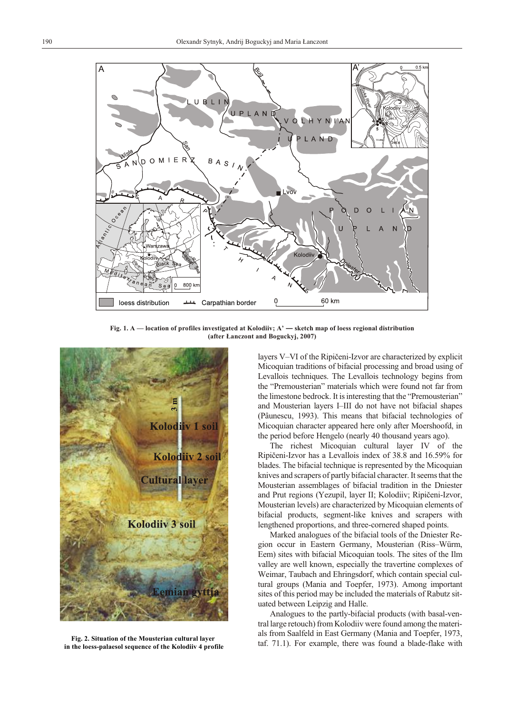<span id="page-1-0"></span>

Fig. 1. A — location of profiles investigated at Kolodiiv; A' — sketch map of loess regional distribution (after Lanczont and Boguckyj, 2007)



Fig. 2. Situation of the Mousterian cultural layer in the loess-palaesol sequence of the Kolodiiv 4 profile

layers V–VI of the Ripičeni-Izvor are characterized by explicit Micoquian traditions of bifacial processing and broad using of Levallois techniques. The Levallois technology begins from the "Premousterian" materials which were found not far from the limestone bedrock. It is interesting that the "Premousterian" and Mousterian layers I–III do not have not bifacial shapes (Pâunescu, 1993). This means that bifacial technologies of Micoquian character appeared here only after Moershoofd, in the period before Hengelo (nearly 40 thousand years ago).

The richest Micoquian cultural layer IV of the Ripičeni-Izvor has a Levallois index of 38.8 and 16.59% for blades. The bifacial technique is represented by the Micoquian knives and scrapers of partly bifacial character. It seems that the Mousterian assemblages of bifacial tradition in the Dniester and Prut regions (Yezupil, layer II; Kolodiiv; Ripičeni-Izvor, Mousterian levels) are characterized by Micoquian elements of bifacial products, segment-like knives and scrapers with lengthened proportions, and three-cornered shaped points.

Marked analogues of the bifacial tools of the Dniester Region occur in Eastern Germany, Mousterian (Riss–Würm, Eem) sites with bifacial Micoquian tools. The sites of the Ilm valley are well known, especially the travertine complexes of Weimar, Taubach and Ehringsdorf, which contain special cultural groups (Mania and Toepfer, 1973). Among important sites of this period may be included the materials of Rabutz situated between Leipzig and Halle.

Analogues to the partly-bifacial products (with basal-ventral large retouch) from Kolodiiv were found among the materials from Saalfeld in East Germany (Mania and Toepfer, 1973, taf. 71.1). For example, there was found a blade-flake with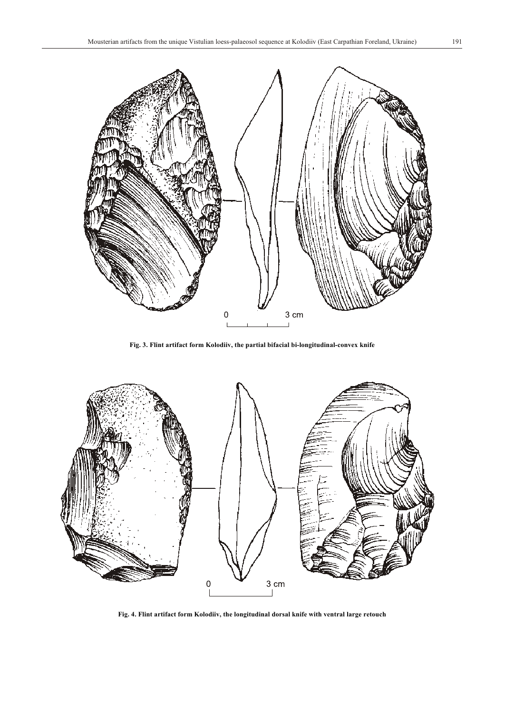<span id="page-2-0"></span>

Fig. 3. Flint artifact form Kolodiiv, the partial bifacial bi-longitudinal-convex knife



Fig. 4. Flint artifact form Kolodiiv, the longitudinal dorsal knife with ventral large retouch